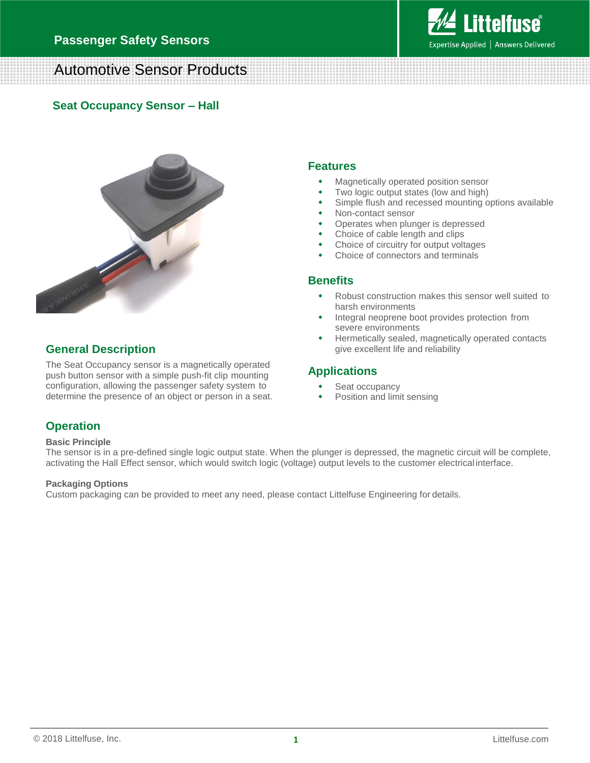

# Automotive Sensor Products

### **Seat Occupancy Sensor – Hall**



# **General Description**

The Seat Occupancy sensor is a magnetically operated push button sensor with a simple push-fit clip mounting configuration, allowing the passenger safety system to determine the presence of an object or person in a seat.

### **Features**

- Magnetically operated position sensor
- Two logic output states (low and high)
- Simple flush and recessed mounting options available
- Non-contact sensor
- Operates when plunger is depressed
- Choice of cable length and clips
- Choice of circuitry for output voltages
- Choice of connectors and terminals

### **Benefits**

- Robust construction makes this sensor well suited to harsh environments
- Integral neoprene boot provides protection from severe environments
- Hermetically sealed, magnetically operated contacts give excellent life and reliability

## **Applications**

- Seat occupancy
- Position and limit sensing

# **Operation**

#### **Basic Principle**

The sensor is in a pre-defined single logic output state. When the plunger is depressed, the magnetic circuit will be complete, activating the Hall Effect sensor, which would switch logic (voltage) output levels to the customer electrical interface.

#### **Packaging Options**

Custom packaging can be provided to meet any need, please contact Littelfuse Engineering for details.